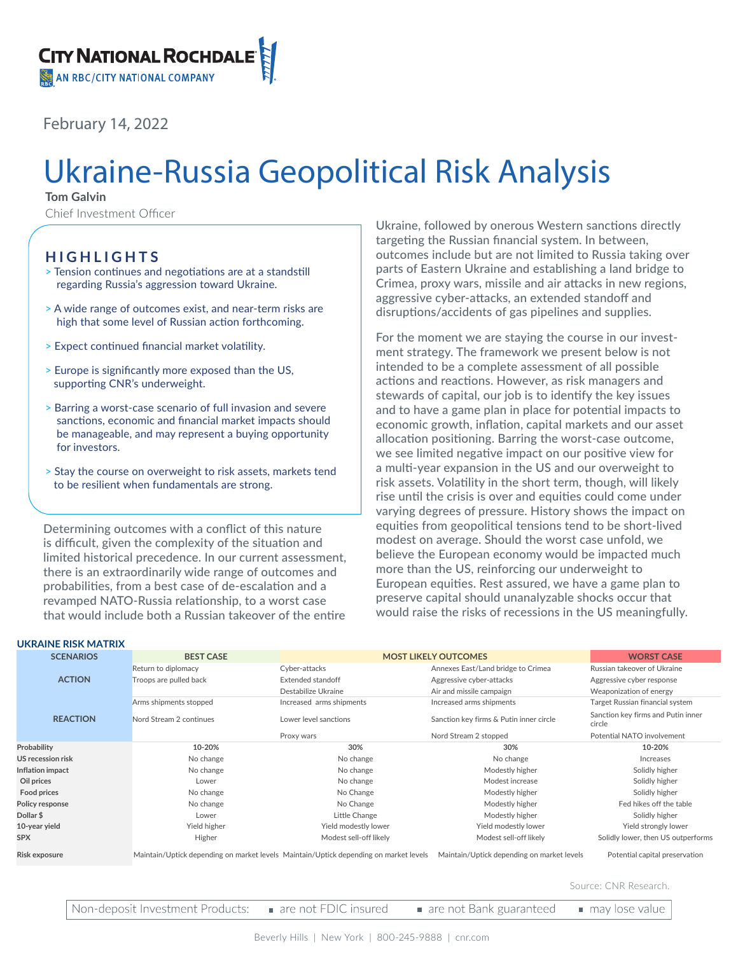February 14, 2022

# Ukraine-Russia Geopolitical Risk Analysis

**Tom Galvin**

Chief Investment Officer

### **HIGHLIGHTS**

- > Tension continues and negotiations are at a standstill regarding Russia's aggression toward Ukraine.
- > A wide range of outcomes exist, and near-term risks are high that some level of Russian action forthcoming.
- > Expect continued financial market volatility.
- > Europe is significantly more exposed than the US, supporting CNR's underweight.
- > Barring a worst-case scenario of full invasion and severe sanctions, economic and financial market impacts should be manageable, and may represent a buying opportunity for investors.
- > Stay the course on overweight to risk assets, markets tend to be resilient when fundamentals are strong.

Determining outcomes with a conflict of this nature is difficult, given the complexity of the situation and limited historical precedence. In our current assessment, there is an extraordinarily wide range of outcomes and probabilities, from a best case of de-escalation and a revamped NATO-Russia relationship, to a worst case that would include both a Russian takeover of the entire

Ukraine, followed by onerous Western sanctions directly targeting the Russian financial system. In between, outcomes include but are not limited to Russia taking over parts of Eastern Ukraine and establishing a land bridge to Crimea, proxy wars, missile and air attacks in new regions, aggressive cyber-attacks, an extended standoff and disruptions/accidents of gas pipelines and supplies.

For the moment we are staying the course in our investment strategy. The framework we present below is not intended to be a complete assessment of all possible actions and reactions. However, as risk managers and stewards of capital, our job is to identify the key issues and to have a game plan in place for potential impacts to economic growth, inflation, capital markets and our asset allocation positioning. Barring the worst-case outcome, we see limited negative impact on our positive view for a multi-year expansion in the US and our overweight to risk assets. Volatility in the short term, though, will likely rise until the crisis is over and equities could come under varying degrees of pressure. History shows the impact on equities from geopolitical tensions tend to be short-lived modest on average. Should the worst case unfold, we believe the European economy would be impacted much more than the US, reinforcing our underweight to European equities. Rest assured, we have a game plan to preserve capital should unanalyzable shocks occur that would raise the risks of recessions in the US meaningfully.

| <b>UKRAINE RISK MATRIX</b> |  |
|----------------------------|--|
|                            |  |

| <b>SCENARIOS</b>         | <b>BEST CASE</b>        | <b>MOST LIKELY OUTCOMES</b>                                                           |                                            | <b>WORST CASE</b>                            |
|--------------------------|-------------------------|---------------------------------------------------------------------------------------|--------------------------------------------|----------------------------------------------|
| Return to diplomacy      |                         | Cyber-attacks                                                                         | Annexes East/Land bridge to Crimea         | Russian takeover of Ukraine                  |
| <b>ACTION</b>            | Troops are pulled back  | <b>Extended standoff</b>                                                              | Aggressive cyber-attacks                   | Aggressive cyber response                    |
|                          |                         | Destabilize Ukraine                                                                   | Air and missile campaign                   | Weaponization of energy                      |
|                          | Arms shipments stopped  | Increased arms shipments                                                              | Increased arms shipments                   | Target Russian financial system              |
| <b>REACTION</b>          | Nord Stream 2 continues | Lower level sanctions                                                                 | Sanction key firms & Putin inner circle    | Sanction key firms and Putin inner<br>circle |
|                          |                         | Proxy wars                                                                            | Nord Stream 2 stopped                      | Potential NATO involvement                   |
| Probability              | 10-20%                  | 30%                                                                                   | 30%                                        | 10-20%                                       |
| <b>US recession risk</b> | No change               | No change                                                                             | No change                                  | Increases                                    |
| Inflation impact         | No change               | No change                                                                             | Modestly higher                            | Solidly higher                               |
| Oil prices               | Lower                   | No change                                                                             | Modest increase                            | Solidly higher                               |
| Food prices              | No change               | No Change                                                                             | Modestly higher                            | Solidly higher                               |
| Policy response          | No change               | No Change                                                                             | Modestly higher                            | Fed hikes off the table                      |
| Dollar \$                | Lower                   | Little Change                                                                         | Modestly higher                            | Solidly higher                               |
| 10-year yield            | Yield higher            | Yield modestly lower                                                                  | Yield modestly lower                       | Yield strongly lower                         |
| <b>SPX</b>               | Higher                  | Modest sell-off likely                                                                | Modest sell-off likely                     | Solidly lower, then US outperforms           |
| Risk exposure            |                         | Maintain/Uptick depending on market levels Maintain/Uptick depending on market levels | Maintain/Uptick depending on market levels | Potential capital preservation               |

Source: CNR Research.

Non-deposit Investment Products: are not FDIC insured are not Bank guaranteed may lose value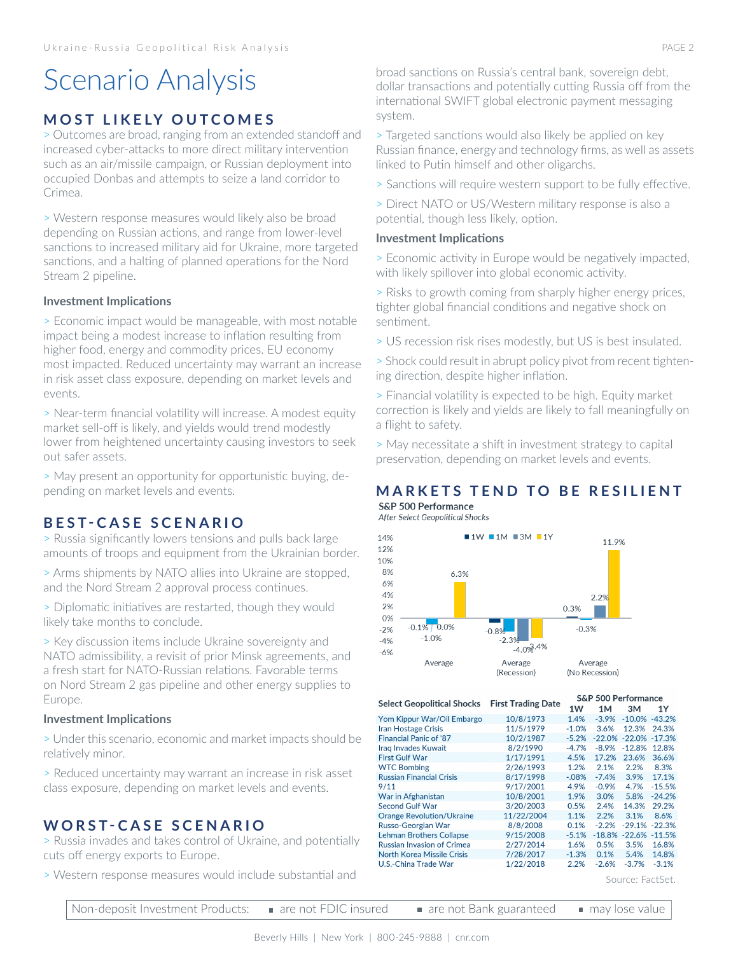## Scenario Analysis

## **MOST LIKELY OUTCOMES**

> Outcomes are broad, ranging from an extended standoff and increased cyber-attacks to more direct military intervention such as an air/missile campaign, or Russian deployment into occupied Donbas and attempts to seize a land corridor to Crimea.

> Western response measures would likely also be broad depending on Russian actions, and range from lower-level sanctions to increased military aid for Ukraine, more targeted sanctions, and a halting of planned operations for the Nord Stream 2 pipeline.

#### **Investment Implications**

> Economic impact would be manageable, with most notable impact being a modest increase to inflation resulting from higher food, energy and commodity prices. EU economy most impacted. Reduced uncertainty may warrant an increase in risk asset class exposure, depending on market levels and events.

> Near-term financial volatility will increase. A modest equity market sell-off is likely, and yields would trend modestly lower from heightened uncertainty causing investors to seek out safer assets.

> May present an opportunity for opportunistic buying, depending on market levels and events.

## **BEST-CASE SCENARIO**

> Russia significantly lowers tensions and pulls back large amounts of troops and equipment from the Ukrainian border.

> Arms shipments by NATO allies into Ukraine are stopped, and the Nord Stream 2 approval process continues.

> Diplomatic initiatives are restarted, though they would likely take months to conclude.

> Key discussion items include Ukraine sovereignty and NATO admissibility, a revisit of prior Minsk agreements, and a fresh start for NATO-Russian relations. Favorable terms on Nord Stream 2 gas pipeline and other energy supplies to Europe.

#### **Investment Implications**

> Under this scenario, economic and market impacts should be relatively minor.

> Reduced uncertainty may warrant an increase in risk asset class exposure, depending on market levels and events.

## **WORST-CASE SCENARIO**

> Russia invades and takes control of Ukraine, and potentially cuts off energy exports to Europe.

> Western response measures would include substantial and

broad sanctions on Russia's central bank, sovereign debt, dollar transactions and potentially cutting Russia off from the international SWIFT global electronic payment messaging system.

> Targeted sanctions would also likely be applied on key Russian finance, energy and technology firms, as well as assets linked to Putin himself and other oligarchs.

> Sanctions will require western support to be fully effective.

> Direct NATO or US/Western military response is also a potential, though less likely, option.

#### **Investment Implications**

> Economic activity in Europe would be negatively impacted, with likely spillover into global economic activity.

> Risks to growth coming from sharply higher energy prices, tighter global financial conditions and negative shock on sentiment.

> US recession risk rises modestly, but US is best insulated.

> Shock could result in abrupt policy pivot from recent tightening direction, despite higher inflation.

> Financial volatility is expected to be high. Equity market correction is likely and yields are likely to fall meaningfully on a flight to safety.

> May necessitate a shift in investment strategy to capital preservation, depending on market levels and events.

## **MARKETS TEND TO BE RESILIENT**

S&P 500 Performance After Select Geopolitical Shocks



S&P 500 Performance **Select Geopolitical Shocks First Trading Date**  $1W$  $1M$  $3M$  $1Y$ Yom Kippur War/Oil Embargo 10/8/1973 1.4%  $-3.9%$  $-10.0%$  $-43.2%$ 11/5/1979  $-1.0%$ 3.6% 12.3% 24.3% **Iran Hostage Crisis Financial Panic of '87** 10/2/1987  $-5.2\% -22.0\% -22.0\%$  $-17.3%$ 8/2/1990 Irag Invades Kuwait  $-4.7%$  $-8.9%$  $-12.8%$ 12.8% **First Gulf War** 1/17/1991 4.5% 17.2% 23.6% 36.6% **WTC Bombing** 2/26/1993 1.2% 2.1% 2.2% 8.3% **Russian Financial Crisis** 8/17/1998  $-.08%$  $-7.4%$ 3.9% 17.1%  $-0.9%$  $9/11$ 9/17/2001 4.9% 4.7%  $-15.5%$ War in Afghanistan 3.0% 10/8/2001 1.9% 5.8%  $-24.2%$ Second Gulf War 3/20/2003  $0.5%$  $2.4%$ 14.3% 29.2% **Orange Revolution/Ukraine** 11/22/2004 1.1%  $2.2%$ 3.1% 8.6% Russo-Georgian War 8/8/2008 0.1%  $-2.2%$  $-29.1\% -22.3\%$ **Lehman Brothers Collapse** 9/15/2008  $-51%$  $-18.8\% -22.6\% -11.5\%$ **Russian Invasion of Crimea** 2/27/2014 1.6%  $0.5%$ 3.5% 16.8% North Korea Missile Crisis 7/28/2017  $-1.3%$ 0.1% 5.4% 14.8% U.S.-China Trade War 1/22/2018 2.2%  $-2.6%$  $-3.7%$  $-3.1%$ 

Source: FactSet.

| Non-deposit Investment Products: . | $\blacksquare$ are not FDIC insured | are not Bank guaranteed a may lose value |  |
|------------------------------------|-------------------------------------|------------------------------------------|--|
|------------------------------------|-------------------------------------|------------------------------------------|--|